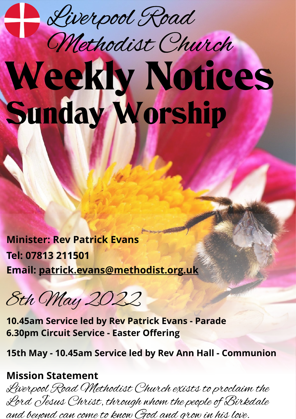Liverpool Road

## Weekly Notices Sunday Worship Methodist Church

**Minister: Rev Patrick Evans Tel: 07813 211501 Email: [patrick.evans@methodist.org.uk](mailto:patrick.evans@methodist.org.uk)**

8th May 2022

**10.45am Service led by Rev Patrick Evans - Parade 6.30pm Circuit Service - Easter Offering**

**15th May - 10.45am Service led by Rev Ann Hall - Communion**

## **Mission Statement**

Liverpool Road Methodist Church exists to proclaim the Lord Jesus Christ, through whom the people of Birkdale and beyond can come to know God and grow in his love.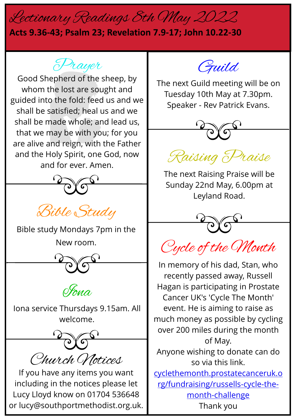## Lectionary Readings 8th May 2022

## **Acts 9.36-43; Psalm 23; Revelation 7.9-17; John 10.22-30**

Prayer

Good Shepherd of the sheep, by whom the lost are sought and guided into the fold: feed us and we shall be satisfied; heal us and we shall be made whole; and lead us, that we may be with you; for you are alive and reign, with the Father and the Holy Spirit, one God, now and for ever. Amen.



Bible Study

Bible study Mondays 7pm in the New room.



Iona service Thursdays 9.15am. All welcome.

Church Notices

If you have any items you want including in the notices please let Lucy Lloyd know on 01704 536648 or lucy@southportmethodist.org.uk.



The next Guild meeting will be on Tuesday 10th May at 7.30pm. Speaker - Rev Patrick Evans.



Raising Praise

The next Raising Praise will be Sunday 22nd May, 6.00pm at Leyland Road.



Cycle of the Month

In memory of his dad, Stan, who recently passed away, Russell Hagan is participating in Prostate Cancer UK's 'Cycle The Month' event. He is aiming to raise as much money as possible by cycling over 200 miles during the month of May. Anyone wishing to donate can do so via this link. [cyclethemonth.prostatecanceruk.o](http://cyclethemonth.prostatecanceruk.org/fundraising/russells-cycle-the-month-challenge/) [rg/fundraising/russells-cycle-the](http://cyclethemonth.prostatecanceruk.org/fundraising/russells-cycle-the-month-challenge/)[month-challenge](http://cyclethemonth.prostatecanceruk.org/fundraising/russells-cycle-the-month-challenge/)

Thank you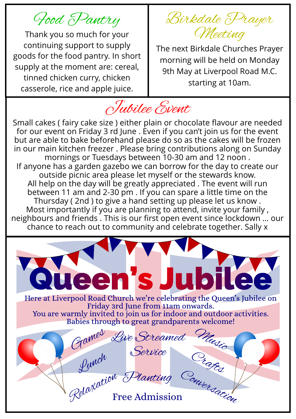Food Pantry

Thank you so much for your continuing support to supply goods for the food pantry. In short supply at the moment are: cereal, tinned chicken curry, chicken casserole, rice and apple juice.

Birkdale Prayer Meeting

The next Birkdale Churches Prayer morning will be held on Monday 9th May at Liverpool Road M.C. starting at 10am.

Jubilee Event

Small cakes ( fairy cake size ) either plain or chocolate flavour are needed for our event on Friday 3 rd June . Even if you can't join us for the event but are able to bake beforehand please do so as the cakes will be frozen in our main kitchen freezer . Please bring contributions along on Sunday mornings or Tuesdays between 10-30 am and 12 noon . If anyone has a garden gazebo we can borrow for the day to create our outside picnic area please let myself or the stewards know. All help on the day will be greatly appreciated . The event will run between 11 am and 2-30 pm . If you can spare a little time on the Thursday ( 2nd ) to give a hand setting up please let us know . Most importantly if you are planning to attend, invite your family , neighbours and friends . This is our first open event since lockdown … our chance to reach out to community and celebrate together. Sally x